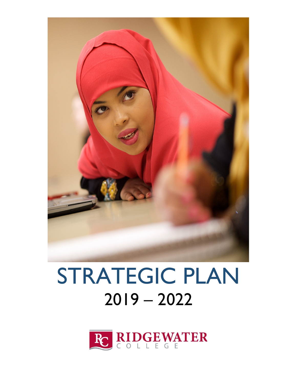

# STRATEGIC PLAN 2019 – 2022

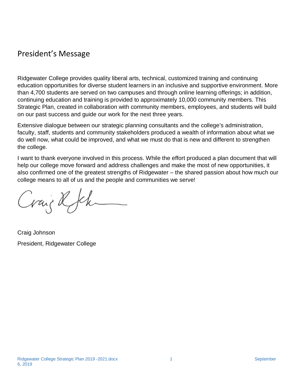# President's Message

Ridgewater College provides quality liberal arts, technical, customized training and continuing education opportunities for diverse student learners in an inclusive and supportive environment. More than 4,700 students are served on two campuses and through online learning offerings; in addition, continuing education and training is provided to approximately 10,000 community members. This Strategic Plan, created in collaboration with community members, employees, and students will build on our past success and guide our work for the next three years.

Extensive dialogue between our strategic planning consultants and the college's administration, faculty, staff, students and community stakeholders produced a wealth of information about what we do well now, what could be improved, and what we must do that is new and different to strengthen the college.

I want to thank everyone involved in this process. While the effort produced a plan document that will help our college move forward and address challenges and make the most of new opportunities, it also confirmed one of the greatest strengths of Ridgewater – the shared passion about how much our college means to all of us and the people and communities we serve!

Craiz Rfch

Craig Johnson President, Ridgewater College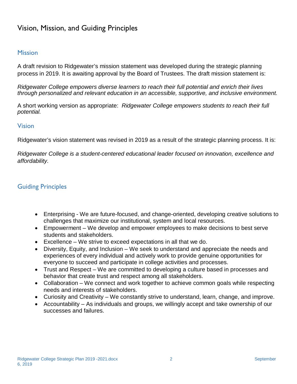## Vision, Mission, and Guiding Principles

#### **Mission**

A draft revision to Ridgewater's mission statement was developed during the strategic planning process in 2019. It is awaiting approval by the Board of Trustees. The draft mission statement is:

*Ridgewater College empowers diverse learners to reach their full potential and enrich their lives through personalized and relevant education in an accessible, supportive, and inclusive environment.*

A short working version as appropriate: *Ridgewater College empowers students to reach their full potential.*

#### Vision

Ridgewater's vision statement was revised in 2019 as a result of the strategic planning process. It is:

*Ridgewater College is a student-centered educational leader focused on innovation, excellence and affordability.*

#### Guiding Principles

- Enterprising We are future-focused, and change-oriented, developing creative solutions to challenges that maximize our institutional, system and local resources.
- Empowerment We develop and empower employees to make decisions to best serve students and stakeholders.
- Excellence We strive to exceed expectations in all that we do.
- Diversity, Equity, and Inclusion We seek to understand and appreciate the needs and experiences of every individual and actively work to provide genuine opportunities for everyone to succeed and participate in college activities and processes.
- Trust and Respect We are committed to developing a culture based in processes and behavior that create trust and respect among all stakeholders.
- Collaboration We connect and work together to achieve common goals while respecting needs and interests of stakeholders.
- Curiosity and Creativity We constantly strive to understand, learn, change, and improve.
- Accountability As individuals and groups, we willingly accept and take ownership of our successes and failures.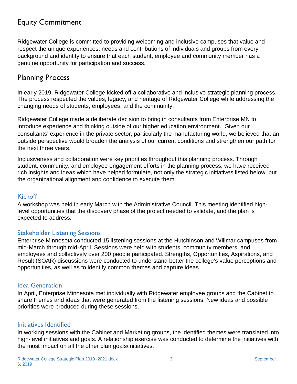# Equity Commitment

Ridgewater College is committed to providing welcoming and inclusive campuses that value and respect the unique experiences, needs and contributions of individuals and groups from every background and identity to ensure that each student, employee and community member has a genuine opportunity for participation and success.

# Planning Process

In early 2019, Ridgewater College kicked off a collaborative and inclusive strategic planning process. The process respected the values, legacy, and heritage of Ridgewater College while addressing the changing needs of students, employees, and the community.

Ridgewater College made a deliberate decision to bring in consultants from Enterprise MN to introduce experience and thinking outside of our higher education environment. Given our consultants' experience in the private sector, particularly the manufacturing world, we believed that an outside perspective would broaden the analysis of our current conditions and strengthen our path for the next three years.

Inclusiveness and collaboration were key priorities throughout this planning process. Through student, community, and employee engagement efforts in the planning process, we have received rich insights and ideas which have helped formulate, not only the strategic initiatives listed below, but the organizational alignment and confidence to execute them.

#### **Kickoff**

A workshop was held in early March with the Administrative Council. This meeting identified highlevel opportunities that the discovery phase of the project needed to validate, and the plan is expected to address.

#### Stakeholder Listening Sessions

Enterprise Minnesota conducted 15 listening sessions at the Hutchinson and Willmar campuses from mid-March through mid-April. Sessions were held with students, community members, and employees and collectively over 200 people participated. Strengths, Opportunities, Aspirations, and Result (SOAR) discussions were conducted to understand better the college's value perceptions and opportunities, as well as to identify common themes and capture ideas.

## Idea Generation

In April, Enterprise Minnesota met individually with Ridgewater employee groups and the Cabinet to share themes and ideas that were generated from the listening sessions. New ideas and possible priorities were produced during these sessions.

#### Initiatives Identified

In working sessions with the Cabinet and Marketing groups, the identified themes were translated into high-level initiatives and goals. A relationship exercise was conducted to determine the initiatives with the most impact on all the other plan goals/initiatives.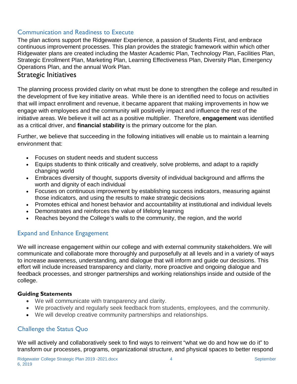## Communication and Readiness to Execute

The plan actions support the Ridgewater Experience, a passion of Students First, and embrace continuous improvement processes. This plan provides the strategic framework within which other Ridgewater plans are created including the Master Academic Plan, Technology Plan, Facilities Plan, Strategic Enrollment Plan, Marketing Plan, Learning Effectiveness Plan, Diversity Plan, Emergency Operations Plan, and the annual Work Plan.

#### Strategic Initiatives

The planning process provided clarity on what must be done to strengthen the college and resulted in the development of five key initiative areas. While there is an identified need to focus on activities that will impact enrollment and revenue, it became apparent that making improvements in how we engage with employees and the community will positively impact and influence the rest of the initiative areas. We believe it will act as a positive multiplier. Therefore, **engagement** was identified as a critical driver, and **financial stability** is the primary outcome for the plan.

Further, we believe that succeeding in the following initiatives will enable us to maintain a learning environment that:

- Focuses on student needs and student success
- Equips students to think critically and creatively, solve problems, and adapt to a rapidly changing world
- Embraces diversity of thought, supports diversity of individual background and affirms the worth and dignity of each individual
- Focuses on continuous improvement by establishing success indicators, measuring against those indicators, and using the results to make strategic decisions
- Promotes ethical and honest behavior and accountability at institutional and individual levels
- Demonstrates and reinforces the value of lifelong learning
- Reaches beyond the College's walls to the community, the region, and the world

#### Expand and Enhance Engagement

We will increase engagement within our college and with external community stakeholders. We will communicate and collaborate more thoroughly and purposefully at all levels and in a variety of ways to increase awareness, understanding, and dialogue that will inform and guide our decisions. This effort will include increased transparency and clarity, more proactive and ongoing dialogue and feedback processes, and stronger partnerships and working relationships inside and outside of the college.

#### **Guiding Statements**

- We will communicate with transparency and clarity.
- We proactively and regularly seek feedback from students, employees, and the community.
- We will develop creative community partnerships and relationships.

#### Challenge the Status Quo

We will actively and collaboratively seek to find ways to reinvent "what we do and how we do it" to transform our processes, programs, organizational structure, and physical spaces to better respond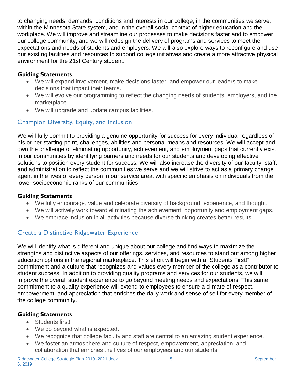to changing needs, demands, conditions and interests in our college, in the communities we serve, within the Minnesota State system, and in the overall social context of higher education and the workplace. We will improve and streamline our processes to make decisions faster and to empower our college community, and we will redesign the delivery of programs and services to meet the expectations and needs of students and employers. We will also explore ways to reconfigure and use our existing facilities and resources to support college initiatives and create a more attractive physical environment for the 21st Century student.

#### **Guiding Statements**

- We will expand involvement, make decisions faster, and empower our leaders to make decisions that impact their teams.
- We will evolve our programming to reflect the changing needs of students, employers, and the marketplace.
- We will upgrade and update campus facilities.

### Champion Diversity, Equity, and Inclusion

We will fully commit to providing a genuine opportunity for success for every individual regardless of his or her starting point, challenges, abilities and personal means and resources. We will accept and own the challenge of eliminating opportunity, achievement, and employment gaps that currently exist in our communities by identifying barriers and needs for our students and developing effective solutions to position every student for success. We will also increase the diversity of our faculty, staff, and administration to reflect the communities we serve and we will strive to act as a primary change agent in the lives of every person in our service area, with specific emphasis on individuals from the lower socioeconomic ranks of our communities.

#### **Guiding Statements**

- We fully encourage, value and celebrate diversity of background, experience, and thought.
- We will actively work toward eliminating the achievement, opportunity and employment gaps.
- We embrace inclusion in all activities because diverse thinking creates better results.

#### Create a Distinctive Ridgewater Experience

We will identify what is different and unique about our college and find ways to maximize the strengths and distinctive aspects of our offerings, services, and resources to stand out among higher education options in the regional marketplace. This effort will begin with a "Students First!" commitment and a culture that recognizes and values every member of the college as a contributor to student success. In addition to providing quality programs and services for our students, we will improve the overall student experience to go beyond meeting needs and expectations. This same commitment to a quality experience will extend to employees to ensure a climate of respect, empowerment, and appreciation that enriches the daily work and sense of self for every member of the college community.

#### **Guiding Statements**

- Students first!
- We go beyond what is expected.
- We recognize that college faculty and staff are central to an amazing student experience.
- We foster an atmosphere and culture of respect, empowerment, appreciation, and collaboration that enriches the lives of our employees and our students.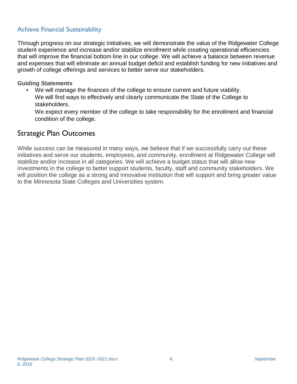### Achieve Financial Sustainability

Through progress on our strategic initiatives, we will demonstrate the value of the Ridgewater College student experience and increase and/or stabilize enrollment while creating operational efficiencies that will improve the financial bottom line in our college. We will achieve a balance between revenue and expenses that will eliminate an annual budget deficit and establish funding for new initiatives and growth of college offerings and services to better serve our stakeholders.

#### **Guiding Statements**

• We will manag*e* the finances of the college to ensure current and future viability. We will find ways to effectively and clearly communicate the State of the College to stakeholders.

We expect every member of the college to take responsibility for the enrollment and financial condition of the college.

## Strategic Plan Outcomes

While success can be measured in many ways, we believe that if we successfully carry out these initiatives and serve our students, employees, and community, enrollment at Ridgewater College will stabilize and/or increase in all categories. We will achieve a budget status that will allow new investments in the college to better support students, faculty, staff and community stakeholders. We will position the college as a strong and innovative institution that will support and bring greater value to the Minnesota State Colleges and Universities system.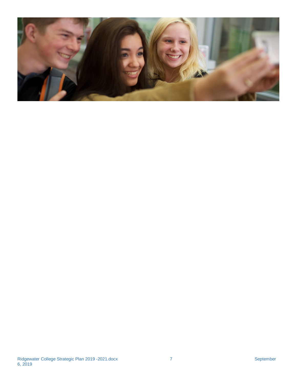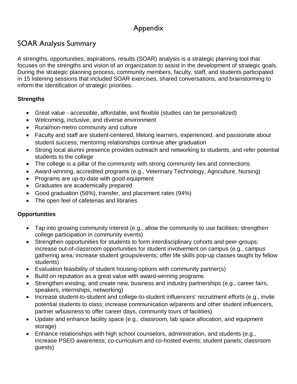# Appendix

## SOAR Analysis Summary

A strengths, opportunities, aspirations, results (SOAR) analysis is a strategic planning tool that focuses on the strengths and vision of an organization to assist in the development of strategic goals. During the strategic planning process, community members, faculty, staff, and students participated in 15 listening sessions that included SOAR exercises, shared conversations, and brainstorming to inform the identification of strategic priorities.

#### **Strengths**

- Great value accessible, affordable, and flexible (studies can be personalized)
- Welcoming, inclusive, and diverse environment
- Rural/non-metro community and culture
- Faculty and staff are student-centered, lifelong learners, experienced, and passionate about student success; mentoring relationships continue after graduation
- Strong local alumni presence provides outreach and networking to students, and refer potential students to the college
- The college is a pillar of the community with strong community ties and connections
- Award-winning, accredited programs (e.g., Veterinary Technology, Agriculture, Nursing)
- Programs are up-to-date with good equipment
- Graduates are academically prepared
- Good graduation (56%), transfer, and placement rates (94%)
- The open feel of cafeterias and libraries

#### **Opportunities**

- Tap into growing community interest (e.g., allow the community to use facilities; strengthen college participation in community events)
- Strengthen opportunities for students to form interdisciplinary cohorts and peer-groups; increase out-of-classroom opportunities for student involvement on campus (e.g., campus gathering area; increase student groups/events; offer life skills pop-up classes taught by fellow students)
- Evaluation feasibility of student housing options with community partner(s)
- Build on reputation as a great value with award-winning programs
- Strengthen existing, and create new, business and industry partnerships (e.g., career fairs, speakers, internships, networking)
- Increase student-to-student and college-to-student influencers' recruitment efforts (e.g., invite potential students to class; increase communication w/parents and other student influencers, partner w/business to offer career days, community tours of facilities)
- Update and enhance facility space (e.g., classroom, lab space allocation, and equipment storage)
- Enhance relationships with high school counselors, administration, and students (e.g., increase PSEO awareness; co-curriculum and co-hosted events; student panels; classroom guests)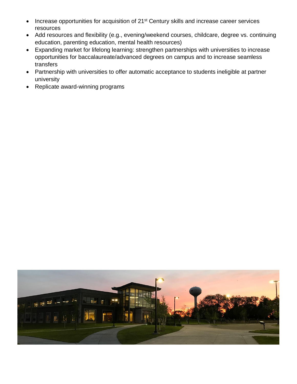- Increase opportunities for acquisition of 21<sup>st</sup> Century skills and increase career services resources
- Add resources and flexibility (e.g., evening/weekend courses, childcare, degree vs. continuing education, parenting education, mental health resources)
- Expanding market for lifelong learning: strengthen partnerships with universities to increase opportunities for baccalaureate/advanced degrees on campus and to increase seamless transfers
- Partnership with universities to offer automatic acceptance to students ineligible at partner university
- Replicate award-winning programs

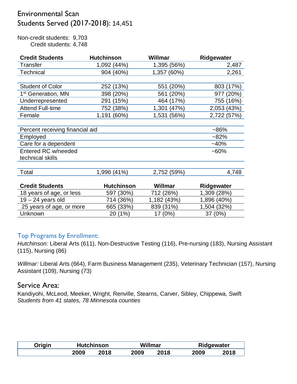# Environmental Scan Students Served (2017-2018): 14,451

Non-credit students: 9,703 Credit students: 4,748

| <b>Credit Students</b>          | <b>Hutchinson</b> | Willmar        | Ridgewater        |  |
|---------------------------------|-------------------|----------------|-------------------|--|
| Transfer                        | 1,092 (44%)       | 1,395 (56%)    | 2,487             |  |
| Technical                       | 904 (40%)         | 1,357 (60%)    | 2,261             |  |
|                                 |                   |                |                   |  |
| <b>Student of Color</b>         | 252 (13%)         | (20%)<br>551   | 803 (17%)         |  |
| 1 <sup>st</sup> Generation, MN  | 398 (20%)         | 561 (20%)      | 977 (20%)         |  |
| Underrepresented                | 291 (15%)         | 464 (17%)      | 755 (16%)         |  |
| <b>Attend Full-time</b>         | 752 (38%)         | 1,301 (47%)    | 2,053 (43%)       |  |
| Female                          | 1,191 (60%)       | 1,531 (56%)    | 2,722 (57%)       |  |
|                                 |                   |                |                   |  |
| Percent receiving financial aid |                   |                | $~186\%$          |  |
| Employed                        |                   |                | $-82%$            |  |
| Care for a dependent            |                   |                | $-40%$            |  |
| Entered RC w/needed             |                   |                | $~160\%$          |  |
| technical skills                |                   |                |                   |  |
|                                 |                   |                |                   |  |
| Total                           | 1,996 (41%)       | 2,752 (59%)    | 4,748             |  |
|                                 |                   |                |                   |  |
| Crodit Studonte                 | <b>Lutchincon</b> | <b>Willmar</b> | <b>Didaowator</b> |  |

| <b>Hutchinson</b> | Willmar     | Ridgewater  |
|-------------------|-------------|-------------|
| 597 (30%)         | 712 (26%)   | 1,309 (28%) |
| 714 (36%)         | 1,182 (43%) | 1,896 (40%) |
| 665 (33%)         | 839 (31%)   | 1,504 (32%) |
| 20 (1%)           | 17(0%)      | 37(0%)      |
|                   |             |             |

## Top Programs by Enrollment:

*Hutchinson:* Liberal Arts (611), Non-Destructive Testing (116), Pre-nursing (183), Nursing Assistant (115), Nursing (86)

*Willmar:* Liberal Arts (664), Farm Business Management (235), Veterinary Technician (157), Nursing Assistant (109), Nursing (73)

## Service Area:

Kandiyohi, McLeod, Meeker, Wright, Renville, Stearns, Carver, Sibley, Chippewa, Swift *Students from 41 states, 78 Minnesota counties*

| Origin |      | Hutchinson |      | <b>Willmar</b> |      | daewater |  |
|--------|------|------------|------|----------------|------|----------|--|
|        | 2009 | 2018       | 2009 | 2018           | 2009 | 2018     |  |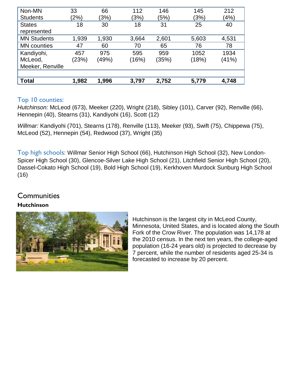| Non-MN             | 33    | 66    | 112   | 146   | 145   | 212   |
|--------------------|-------|-------|-------|-------|-------|-------|
| <b>Students</b>    | (2%)  | (3%)  | (3%)  | (5%)  | (3%)  | (4%)  |
| <b>States</b>      | 18    | 30    | 18    | 31    | 25    | 40    |
| represented        |       |       |       |       |       |       |
| <b>MN Students</b> | 1,939 | 1,930 | 3,664 | 2,601 | 5,603 | 4,531 |
| <b>MN</b> counties | 47    | 60    | 70    | 65    | 76    | 78    |
| Kandiyohi,         | 457   | 975   | 595   | 959   | 1052  | 1934  |
| McLeod,            | (23%) | (49%) | (16%) | (35%) | (18%) | (41%) |
| Meeker, Renville   |       |       |       |       |       |       |
|                    |       |       |       |       |       |       |
| <b>Total</b>       | 1,982 | 1,996 | 3,797 | 2,752 | 5,779 | 4,748 |

## Top 10 counties:

*Hutchinson:* McLeod (673), Meeker (220), Wright (218), Sibley (101), Carver (92), Renville (66), Hennepin (40), Stearns (31), Kandiyohi (16), Scott (12)

*Willmar:* Kandiyohi (701), Stearns (178), Renville (113), Meeker (93), Swift (75), Chippewa (75), McLeod (52), Hennepin (54), Redwood (37), Wright (35)

Top high schools: Willmar Senior High School (66), Hutchinson High School (32), New London-Spicer High School (30), Glencoe-Silver Lake High School (21), Litchfield Senior High School (20), Dassel-Cokato High School (19), Bold High School (19), Kerkhoven Murdock Sunburg High School (16)

# **Communities**

## **Hutchinson**



Hutchinson is the largest city in McLeod County, Minnesota, United States, and is located along the South Fork of the Crow River. The population was 14,178 at the 2010 census. In the next ten years, the college-aged population (16-24 years old) is projected to decrease by 7 percent, while the number of residents aged 25-34 is forecasted to increase by 20 percent.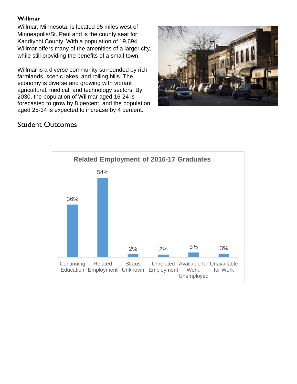#### **Willmar**

Willmar, Minnesota, is located 95 miles west of Minneapolis/St. Paul and is the county seat for Kandiyohi County. With a population of 19,694, Willmar offers many of the amenities of a larger city, while still providing the benefits of a small town.

Willmar is a diverse community surrounded by rich farmlands, scenic lakes, and rolling hills. The economy is diverse and growing with vibrant agricultural, medical, and technology sectors. By 2030, the population of Willmar aged 16-24 is forecasted to grow by 8 percent, and the population aged 25-34 is expected to increase by 4 percent.



# Student Outcomes